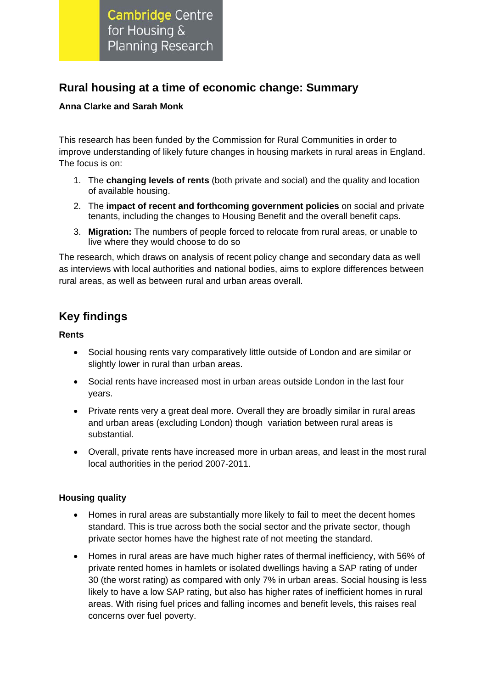**Cambridge Centre** for Housing & **Planning Research** 

# **Rural housing at a time of economic change: Summary**

### **Anna Clarke and Sarah Monk**

This research has been funded by the Commission for Rural Communities in order to improve understanding of likely future changes in housing markets in rural areas in England. The focus is on:

- 1. The **changing levels of rents** (both private and social) and the quality and location of available housing.
- 2. The **impact of recent and forthcoming government policies** on social and private tenants, including the changes to Housing Benefit and the overall benefit caps.
- 3. **Migration:** The numbers of people forced to relocate from rural areas, or unable to live where they would choose to do so

The research, which draws on analysis of recent policy change and secondary data as well as interviews with local authorities and national bodies, aims to explore differences between rural areas, as well as between rural and urban areas overall.

# **Key findings**

#### **Rents**

- Social housing rents vary comparatively little outside of London and are similar or slightly lower in rural than urban areas.
- Social rents have increased most in urban areas outside London in the last four years.
- Private rents very a great deal more. Overall they are broadly similar in rural areas and urban areas (excluding London) though variation between rural areas is substantial.
- Overall, private rents have increased more in urban areas, and least in the most rural local authorities in the period 2007-2011.

## **Housing quality**

- Homes in rural areas are substantially more likely to fail to meet the decent homes standard. This is true across both the social sector and the private sector, though private sector homes have the highest rate of not meeting the standard.
- Homes in rural areas are have much higher rates of thermal inefficiency, with 56% of private rented homes in hamlets or isolated dwellings having a SAP rating of under 30 (the worst rating) as compared with only 7% in urban areas. Social housing is less likely to have a low SAP rating, but also has higher rates of inefficient homes in rural areas. With rising fuel prices and falling incomes and benefit levels, this raises real concerns over fuel poverty.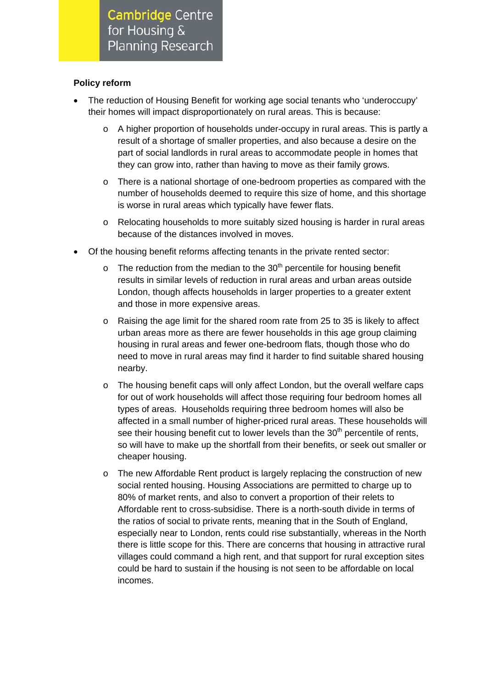**Cambridge Centre** for Housing & **Planning Research** 

#### **Policy reform**

- The reduction of Housing Benefit for working age social tenants who 'underoccupy' their homes will impact disproportionately on rural areas. This is because:
	- $\circ$  A higher proportion of households under-occupy in rural areas. This is partly a result of a shortage of smaller properties, and also because a desire on the part of social landlords in rural areas to accommodate people in homes that they can grow into, rather than having to move as their family grows.
	- o There is a national shortage of one-bedroom properties as compared with the number of households deemed to require this size of home, and this shortage is worse in rural areas which typically have fewer flats.
	- o Relocating households to more suitably sized housing is harder in rural areas because of the distances involved in moves.
- Of the housing benefit reforms affecting tenants in the private rented sector:
	- $\circ$  The reduction from the median to the 30<sup>th</sup> percentile for housing benefit results in similar levels of reduction in rural areas and urban areas outside London, though affects households in larger properties to a greater extent and those in more expensive areas.
	- Raising the age limit for the shared room rate from 25 to 35 is likely to affect urban areas more as there are fewer households in this age group claiming housing in rural areas and fewer one-bedroom flats, though those who do need to move in rural areas may find it harder to find suitable shared housing nearby.
	- o The housing benefit caps will only affect London, but the overall welfare caps for out of work households will affect those requiring four bedroom homes all types of areas. Households requiring three bedroom homes will also be affected in a small number of higher-priced rural areas. These households will see their housing benefit cut to lower levels than the  $30<sup>th</sup>$  percentile of rents, so will have to make up the shortfall from their benefits, or seek out smaller or cheaper housing.
	- o The new Affordable Rent product is largely replacing the construction of new social rented housing. Housing Associations are permitted to charge up to 80% of market rents, and also to convert a proportion of their relets to Affordable rent to cross-subsidise. There is a north-south divide in terms of the ratios of social to private rents, meaning that in the South of England, especially near to London, rents could rise substantially, whereas in the North there is little scope for this. There are concerns that housing in attractive rural villages could command a high rent, and that support for rural exception sites could be hard to sustain if the housing is not seen to be affordable on local incomes.